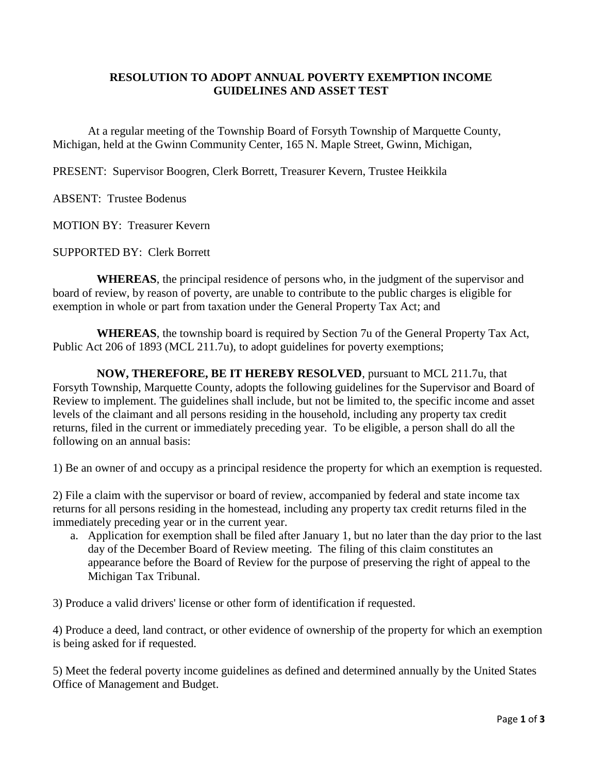## **RESOLUTION TO ADOPT ANNUAL POVERTY EXEMPTION INCOME GUIDELINES AND ASSET TEST**

At a regular meeting of the Township Board of Forsyth Township of Marquette County, Michigan, held at the Gwinn Community Center, 165 N. Maple Street, Gwinn, Michigan,

PRESENT: Supervisor Boogren, Clerk Borrett, Treasurer Kevern, Trustee Heikkila

ABSENT: Trustee Bodenus

MOTION BY: Treasurer Kevern

SUPPORTED BY: Clerk Borrett

**WHEREAS**, the principal residence of persons who, in the judgment of the supervisor and board of review, by reason of poverty, are unable to contribute to the public charges is eligible for exemption in whole or part from taxation under the General Property Tax Act; and

**WHEREAS**, the township board is required by Section 7u of the General Property Tax Act, Public Act 206 of 1893 (MCL 211.7u), to adopt guidelines for poverty exemptions;

 **NOW, THEREFORE, BE IT HEREBY RESOLVED**, pursuant to MCL 211.7u, that Forsyth Township, Marquette County, adopts the following guidelines for the Supervisor and Board of Review to implement. The guidelines shall include, but not be limited to, the specific income and asset levels of the claimant and all persons residing in the household, including any property tax credit returns, filed in the current or immediately preceding year. To be eligible, a person shall do all the following on an annual basis:

1) Be an owner of and occupy as a principal residence the property for which an exemption is requested.

2) File a claim with the supervisor or board of review, accompanied by federal and state income tax returns for all persons residing in the homestead, including any property tax credit returns filed in the immediately preceding year or in the current year.

a. Application for exemption shall be filed after January 1, but no later than the day prior to the last day of the December Board of Review meeting. The filing of this claim constitutes an appearance before the Board of Review for the purpose of preserving the right of appeal to the Michigan Tax Tribunal.

3) Produce a valid drivers' license or other form of identification if requested.

4) Produce a deed, land contract, or other evidence of ownership of the property for which an exemption is being asked for if requested.

5) Meet the federal poverty income guidelines as defined and determined annually by the United States Office of Management and Budget.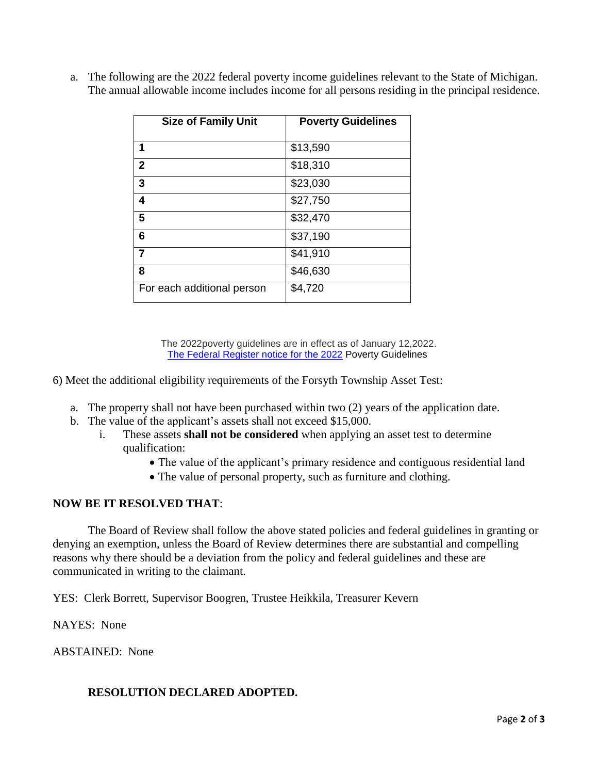| <b>Size of Family Unit</b> | <b>Poverty Guidelines</b> |
|----------------------------|---------------------------|
| 1                          | \$13,590                  |
| $\overline{2}$             | \$18,310                  |
| 3                          | \$23,030                  |
| 4                          | \$27,750                  |
| 5                          | \$32,470                  |
| 6                          | \$37,190                  |
| $\overline{7}$             | \$41,910                  |
| 8                          | \$46,630                  |
| For each additional person | \$4,720                   |

a. The following are the 2022 federal poverty income guidelines relevant to the State of Michigan. The annual allowable income includes income for all persons residing in the principal residence.

> The 2022poverty guidelines are in effect as of January 12,2022. The [Federal Register notice for the 2022](https://aspe.hhs.gov/topics/poverty-economic-mobility/poverty-guidelines) Poverty Guidelines

6) Meet the additional eligibility requirements of the Forsyth Township Asset Test:

- a. The property shall not have been purchased within two (2) years of the application date.
- b. The value of the applicant's assets shall not exceed \$15,000.
	- i. These assets **shall not be considered** when applying an asset test to determine qualification:
		- The value of the applicant's primary residence and contiguous residential land
		- The value of personal property, such as furniture and clothing.

## **NOW BE IT RESOLVED THAT**:

 The Board of Review shall follow the above stated policies and federal guidelines in granting or denying an exemption, unless the Board of Review determines there are substantial and compelling reasons why there should be a deviation from the policy and federal guidelines and these are communicated in writing to the claimant.

YES: Clerk Borrett, Supervisor Boogren, Trustee Heikkila, Treasurer Kevern

NAYES: None

ABSTAINED: None

## **RESOLUTION DECLARED ADOPTED.**